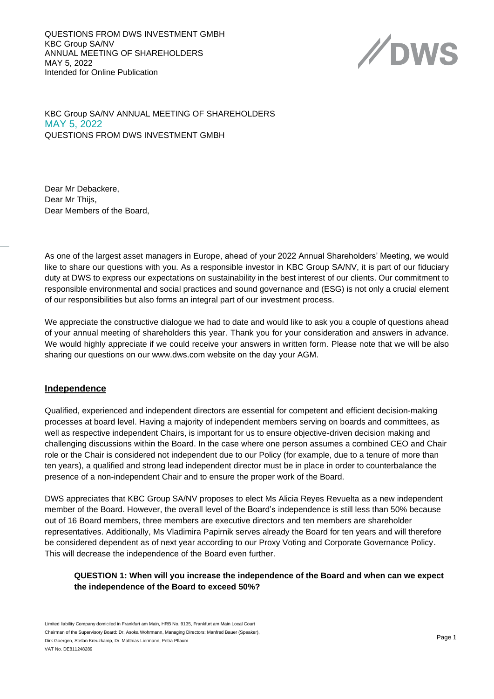QUESTIONS FROM DWS INVESTMENT GMBH KBC Group SA/NV ANNUAL MEETING OF SHAREHOLDERS MAY 5, 2022 Intended for Online Publication



KBC Group SA/NV ANNUAL MEETING OF SHAREHOLDERS MAY 5, 2022 QUESTIONS FROM DWS INVESTMENT GMBH

Dear Mr Debackere, Dear Mr Thijs, Dear Members of the Board,

As one of the largest asset managers in Europe, ahead of your 2022 Annual Shareholders' Meeting, we would like to share our questions with you. As a responsible investor in KBC Group SA/NV, it is part of our fiduciary duty at DWS to express our expectations on sustainability in the best interest of our clients. Our commitment to responsible environmental and social practices and sound governance and (ESG) is not only a crucial element of our responsibilities but also forms an integral part of our investment process.

We appreciate the constructive dialogue we had to date and would like to ask you a couple of questions ahead of your annual meeting of shareholders this year. Thank you for your consideration and answers in advance. We would highly appreciate if we could receive your answers in written form. Please note that we will be also sharing our questions on our www.dws.com website on the day your AGM.

#### **Independence**

Qualified, experienced and independent directors are essential for competent and efficient decision-making processes at board level. Having a majority of independent members serving on boards and committees, as well as respective independent Chairs, is important for us to ensure objective-driven decision making and challenging discussions within the Board. In the case where one person assumes a combined CEO and Chair role or the Chair is considered not independent due to our Policy (for example, due to a tenure of more than ten years), a qualified and strong lead independent director must be in place in order to counterbalance the presence of a non-independent Chair and to ensure the proper work of the Board.

DWS appreciates that KBC Group SA/NV proposes to elect Ms Alicia Reyes Revuelta as a new independent member of the Board. However, the overall level of the Board's independence is still less than 50% because out of 16 Board members, three members are executive directors and ten members are shareholder representatives. Additionally, Ms Vladimira Papirnik serves already the Board for ten years and will therefore be considered dependent as of next year according to our Proxy Voting and Corporate Governance Policy. This will decrease the independence of the Board even further.

# **QUESTION 1: When will you increase the independence of the Board and when can we expect the independence of the Board to exceed 50%?**

Limited liability Company domiciled in Frankfurt am Main, HRB No. 9135, Frankfurt am Main Local Court Chairman of the Supervisory Board: Dr. Asoka Wöhrmann, Managing Directors: Manfred Bauer (Speaker), Dirk Goergen, Stefan Kreuzkamp, Dr. Matthias Liermann, Petra Pflaum VAT No. DE811248289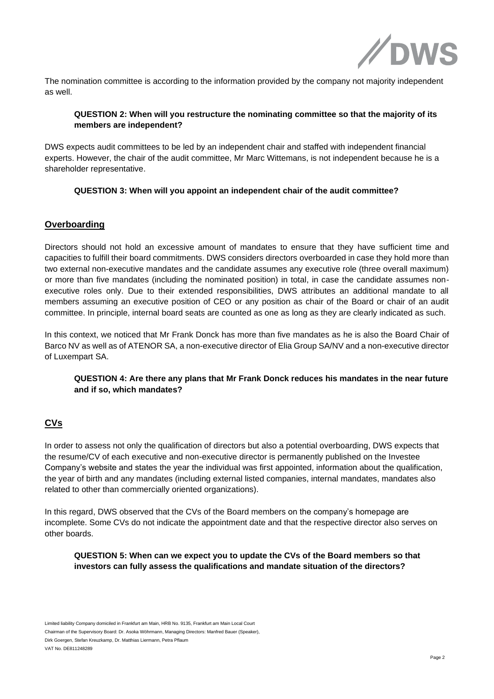

The nomination committee is according to the information provided by the company not majority independent as well.

### **QUESTION 2: When will you restructure the nominating committee so that the majority of its members are independent?**

DWS expects audit committees to be led by an independent chair and staffed with independent financial experts. However, the chair of the audit committee, Mr Marc Wittemans, is not independent because he is a shareholder representative.

#### **QUESTION 3: When will you appoint an independent chair of the audit committee?**

### **Overboarding**

Directors should not hold an excessive amount of mandates to ensure that they have sufficient time and capacities to fulfill their board commitments. DWS considers directors overboarded in case they hold more than two external non-executive mandates and the candidate assumes any executive role (three overall maximum) or more than five mandates (including the nominated position) in total, in case the candidate assumes nonexecutive roles only. Due to their extended responsibilities, DWS attributes an additional mandate to all members assuming an executive position of CEO or any position as chair of the Board or chair of an audit committee. In principle, internal board seats are counted as one as long as they are clearly indicated as such.

In this context, we noticed that Mr Frank Donck has more than five mandates as he is also the Board Chair of Barco NV as well as of ATENOR SA, a non-executive director of Elia Group SA/NV and a non-executive director of Luxempart SA.

### **QUESTION 4: Are there any plans that Mr Frank Donck reduces his mandates in the near future and if so, which mandates?**

# **CVs**

In order to assess not only the qualification of directors but also a potential overboarding, DWS expects that the resume/CV of each executive and non-executive director is permanently published on the Investee Company's website and states the year the individual was first appointed, information about the qualification, the year of birth and any mandates (including external listed companies, internal mandates, mandates also related to other than commercially oriented organizations).

In this regard, DWS observed that the CVs of the Board members on the company's homepage are incomplete. Some CVs do not indicate the appointment date and that the respective director also serves on other boards.

#### **QUESTION 5: When can we expect you to update the CVs of the Board members so that investors can fully assess the qualifications and mandate situation of the directors?**

Limited liability Company domiciled in Frankfurt am Main, HRB No. 9135, Frankfurt am Main Local Court Chairman of the Supervisory Board: Dr. Asoka Wöhrmann, Managing Directors: Manfred Bauer (Speaker), Dirk Goergen, Stefan Kreuzkamp, Dr. Matthias Liermann, Petra Pflaum VAT No. DE811248289